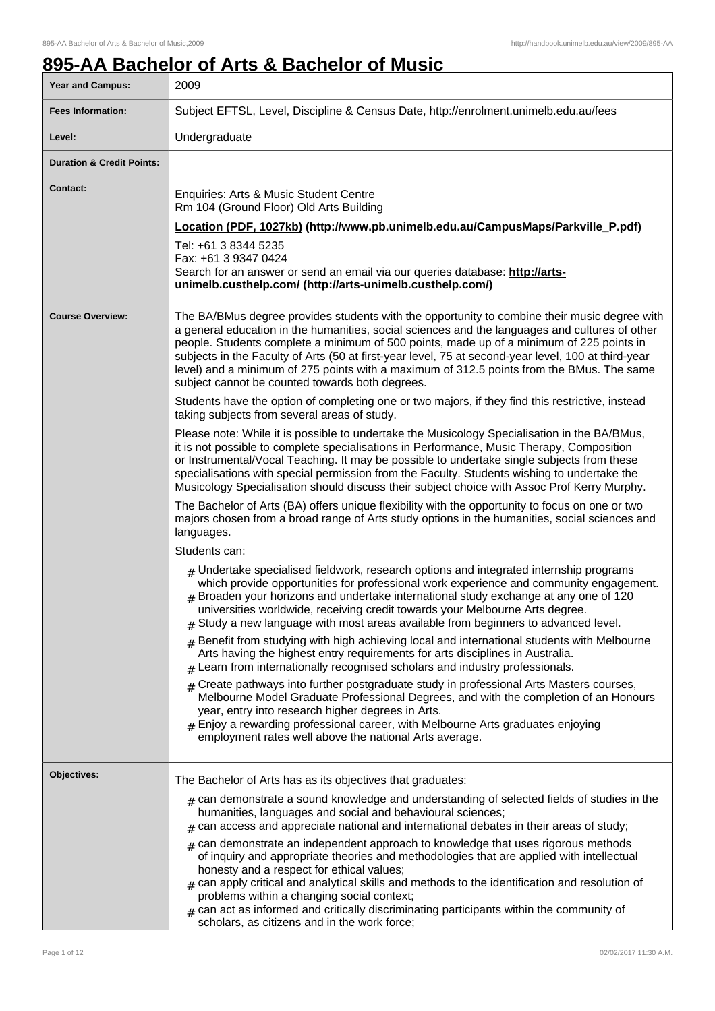# **895-AA Bachelor of Arts & Bachelor of Music**

| <b>Year and Campus:</b>              | 2009                                                                                                                                                                                                                                                                                                                                                                                                                                                                                                                                                                                                                                                  |
|--------------------------------------|-------------------------------------------------------------------------------------------------------------------------------------------------------------------------------------------------------------------------------------------------------------------------------------------------------------------------------------------------------------------------------------------------------------------------------------------------------------------------------------------------------------------------------------------------------------------------------------------------------------------------------------------------------|
| <b>Fees Information:</b>             | Subject EFTSL, Level, Discipline & Census Date, http://enrolment.unimelb.edu.au/fees                                                                                                                                                                                                                                                                                                                                                                                                                                                                                                                                                                  |
| Level:                               | Undergraduate                                                                                                                                                                                                                                                                                                                                                                                                                                                                                                                                                                                                                                         |
| <b>Duration &amp; Credit Points:</b> |                                                                                                                                                                                                                                                                                                                                                                                                                                                                                                                                                                                                                                                       |
| <b>Contact:</b>                      | Enquiries: Arts & Music Student Centre<br>Rm 104 (Ground Floor) Old Arts Building<br>Location (PDF, 1027kb) (http://www.pb.unimelb.edu.au/CampusMaps/Parkville_P.pdf)<br>Tel: +61 3 8344 5235<br>Fax: +61 3 9347 0424<br>Search for an answer or send an email via our queries database: http://arts-<br>unimelb.custhelp.com/ (http://arts-unimelb.custhelp.com/)                                                                                                                                                                                                                                                                                    |
| <b>Course Overview:</b>              | The BA/BMus degree provides students with the opportunity to combine their music degree with<br>a general education in the humanities, social sciences and the languages and cultures of other<br>people. Students complete a minimum of 500 points, made up of a minimum of 225 points in<br>subjects in the Faculty of Arts (50 at first-year level, 75 at second-year level, 100 at third-year<br>level) and a minimum of 275 points with a maximum of 312.5 points from the BMus. The same<br>subject cannot be counted towards both degrees.<br>Students have the option of completing one or two majors, if they find this restrictive, instead |
|                                      | taking subjects from several areas of study.                                                                                                                                                                                                                                                                                                                                                                                                                                                                                                                                                                                                          |
|                                      | Please note: While it is possible to undertake the Musicology Specialisation in the BA/BMus,<br>it is not possible to complete specialisations in Performance, Music Therapy, Composition<br>or Instrumental/Vocal Teaching. It may be possible to undertake single subjects from these<br>specialisations with special permission from the Faculty. Students wishing to undertake the<br>Musicology Specialisation should discuss their subject choice with Assoc Prof Kerry Murphy.                                                                                                                                                                 |
|                                      | The Bachelor of Arts (BA) offers unique flexibility with the opportunity to focus on one or two<br>majors chosen from a broad range of Arts study options in the humanities, social sciences and<br>languages.                                                                                                                                                                                                                                                                                                                                                                                                                                        |
|                                      | Students can:                                                                                                                                                                                                                                                                                                                                                                                                                                                                                                                                                                                                                                         |
|                                      | $_{\text{\#}}$ Undertake specialised fieldwork, research options and integrated internship programs<br>which provide opportunities for professional work experience and community engagement.<br>$#$ Broaden your horizons and undertake international study exchange at any one of 120<br>universities worldwide, receiving credit towards your Melbourne Arts degree.<br>$#$ Study a new language with most areas available from beginners to advanced level.                                                                                                                                                                                       |
|                                      | Benefit from studying with high achieving local and international students with Melbourne<br>#<br>Arts having the highest entry requirements for arts disciplines in Australia.<br>Learn from internationally recognised scholars and industry professionals.<br>#                                                                                                                                                                                                                                                                                                                                                                                    |
|                                      | Create pathways into further postgraduate study in professional Arts Masters courses,<br>#<br>Melbourne Model Graduate Professional Degrees, and with the completion of an Honours<br>year, entry into research higher degrees in Arts.<br>Enjoy a rewarding professional career, with Melbourne Arts graduates enjoying<br>employment rates well above the national Arts average.                                                                                                                                                                                                                                                                    |
| Objectives:                          | The Bachelor of Arts has as its objectives that graduates:                                                                                                                                                                                                                                                                                                                                                                                                                                                                                                                                                                                            |
|                                      | $_{\#}$ can demonstrate a sound knowledge and understanding of selected fields of studies in the<br>humanities, languages and social and behavioural sciences;<br>can access and appreciate national and international debates in their areas of study;<br>#                                                                                                                                                                                                                                                                                                                                                                                          |
|                                      | can demonstrate an independent approach to knowledge that uses rigorous methods<br>#<br>of inquiry and appropriate theories and methodologies that are applied with intellectual<br>honesty and a respect for ethical values;<br>$_{\#}$ can apply critical and analytical skills and methods to the identification and resolution of<br>problems within a changing social context;<br>can act as informed and critically discriminating participants within the community of<br>scholars, as citizens and in the work force;                                                                                                                         |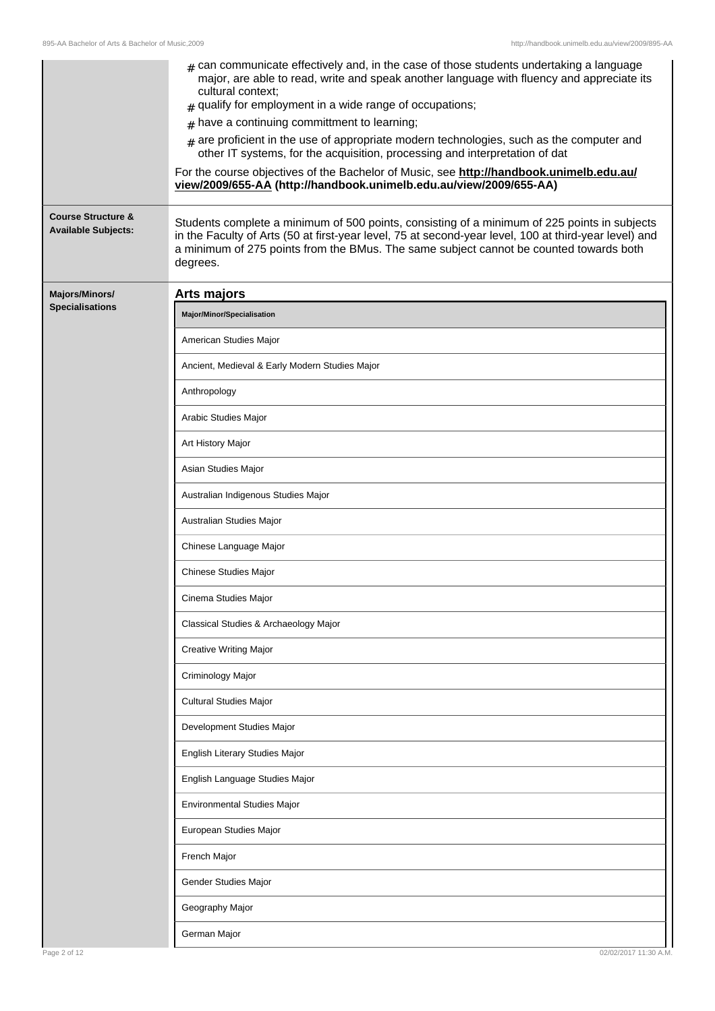| <b>Course Structure &amp;</b><br><b>Available Subjects:</b> | $_{\#}$ can communicate effectively and, in the case of those students undertaking a language<br>major, are able to read, write and speak another language with fluency and appreciate its<br>cultural context:<br>qualify for employment in a wide range of occupations;<br>#<br>$#$ have a continuing committment to learning;<br>are proficient in the use of appropriate modern technologies, such as the computer and<br>#<br>other IT systems, for the acquisition, processing and interpretation of dat<br>For the course objectives of the Bachelor of Music, see http://handbook.unimelb.edu.au/<br>view/2009/655-AA (http://handbook.unimelb.edu.au/view/2009/655-AA)<br>Students complete a minimum of 500 points, consisting of a minimum of 225 points in subjects<br>in the Faculty of Arts (50 at first-year level, 75 at second-year level, 100 at third-year level) and<br>a minimum of 275 points from the BMus. The same subject cannot be counted towards both |
|-------------------------------------------------------------|------------------------------------------------------------------------------------------------------------------------------------------------------------------------------------------------------------------------------------------------------------------------------------------------------------------------------------------------------------------------------------------------------------------------------------------------------------------------------------------------------------------------------------------------------------------------------------------------------------------------------------------------------------------------------------------------------------------------------------------------------------------------------------------------------------------------------------------------------------------------------------------------------------------------------------------------------------------------------------|
|                                                             | degrees.                                                                                                                                                                                                                                                                                                                                                                                                                                                                                                                                                                                                                                                                                                                                                                                                                                                                                                                                                                           |
| Majors/Minors/<br><b>Specialisations</b>                    | Arts majors                                                                                                                                                                                                                                                                                                                                                                                                                                                                                                                                                                                                                                                                                                                                                                                                                                                                                                                                                                        |
|                                                             | Major/Minor/Specialisation                                                                                                                                                                                                                                                                                                                                                                                                                                                                                                                                                                                                                                                                                                                                                                                                                                                                                                                                                         |
|                                                             | American Studies Major                                                                                                                                                                                                                                                                                                                                                                                                                                                                                                                                                                                                                                                                                                                                                                                                                                                                                                                                                             |
|                                                             | Ancient, Medieval & Early Modern Studies Major                                                                                                                                                                                                                                                                                                                                                                                                                                                                                                                                                                                                                                                                                                                                                                                                                                                                                                                                     |
|                                                             | Anthropology                                                                                                                                                                                                                                                                                                                                                                                                                                                                                                                                                                                                                                                                                                                                                                                                                                                                                                                                                                       |
|                                                             | Arabic Studies Major                                                                                                                                                                                                                                                                                                                                                                                                                                                                                                                                                                                                                                                                                                                                                                                                                                                                                                                                                               |
|                                                             | Art History Major                                                                                                                                                                                                                                                                                                                                                                                                                                                                                                                                                                                                                                                                                                                                                                                                                                                                                                                                                                  |
|                                                             | Asian Studies Major                                                                                                                                                                                                                                                                                                                                                                                                                                                                                                                                                                                                                                                                                                                                                                                                                                                                                                                                                                |
|                                                             | Australian Indigenous Studies Major                                                                                                                                                                                                                                                                                                                                                                                                                                                                                                                                                                                                                                                                                                                                                                                                                                                                                                                                                |
|                                                             | Australian Studies Major                                                                                                                                                                                                                                                                                                                                                                                                                                                                                                                                                                                                                                                                                                                                                                                                                                                                                                                                                           |
|                                                             | Chinese Language Major                                                                                                                                                                                                                                                                                                                                                                                                                                                                                                                                                                                                                                                                                                                                                                                                                                                                                                                                                             |
|                                                             | Chinese Studies Major                                                                                                                                                                                                                                                                                                                                                                                                                                                                                                                                                                                                                                                                                                                                                                                                                                                                                                                                                              |
|                                                             | Cinema Studies Major                                                                                                                                                                                                                                                                                                                                                                                                                                                                                                                                                                                                                                                                                                                                                                                                                                                                                                                                                               |
|                                                             | Classical Studies & Archaeology Major                                                                                                                                                                                                                                                                                                                                                                                                                                                                                                                                                                                                                                                                                                                                                                                                                                                                                                                                              |
|                                                             | Creative Writing Major                                                                                                                                                                                                                                                                                                                                                                                                                                                                                                                                                                                                                                                                                                                                                                                                                                                                                                                                                             |
|                                                             | Criminology Major                                                                                                                                                                                                                                                                                                                                                                                                                                                                                                                                                                                                                                                                                                                                                                                                                                                                                                                                                                  |
|                                                             | Cultural Studies Major                                                                                                                                                                                                                                                                                                                                                                                                                                                                                                                                                                                                                                                                                                                                                                                                                                                                                                                                                             |
|                                                             | Development Studies Major                                                                                                                                                                                                                                                                                                                                                                                                                                                                                                                                                                                                                                                                                                                                                                                                                                                                                                                                                          |
|                                                             | English Literary Studies Major                                                                                                                                                                                                                                                                                                                                                                                                                                                                                                                                                                                                                                                                                                                                                                                                                                                                                                                                                     |
|                                                             | English Language Studies Major                                                                                                                                                                                                                                                                                                                                                                                                                                                                                                                                                                                                                                                                                                                                                                                                                                                                                                                                                     |
|                                                             | Environmental Studies Major                                                                                                                                                                                                                                                                                                                                                                                                                                                                                                                                                                                                                                                                                                                                                                                                                                                                                                                                                        |
|                                                             | European Studies Major                                                                                                                                                                                                                                                                                                                                                                                                                                                                                                                                                                                                                                                                                                                                                                                                                                                                                                                                                             |
|                                                             | French Major                                                                                                                                                                                                                                                                                                                                                                                                                                                                                                                                                                                                                                                                                                                                                                                                                                                                                                                                                                       |
|                                                             | Gender Studies Major                                                                                                                                                                                                                                                                                                                                                                                                                                                                                                                                                                                                                                                                                                                                                                                                                                                                                                                                                               |
|                                                             | Geography Major                                                                                                                                                                                                                                                                                                                                                                                                                                                                                                                                                                                                                                                                                                                                                                                                                                                                                                                                                                    |
|                                                             | German Major                                                                                                                                                                                                                                                                                                                                                                                                                                                                                                                                                                                                                                                                                                                                                                                                                                                                                                                                                                       |
| Page 2 of 12                                                | 02/02/2017 11:30 A.M.                                                                                                                                                                                                                                                                                                                                                                                                                                                                                                                                                                                                                                                                                                                                                                                                                                                                                                                                                              |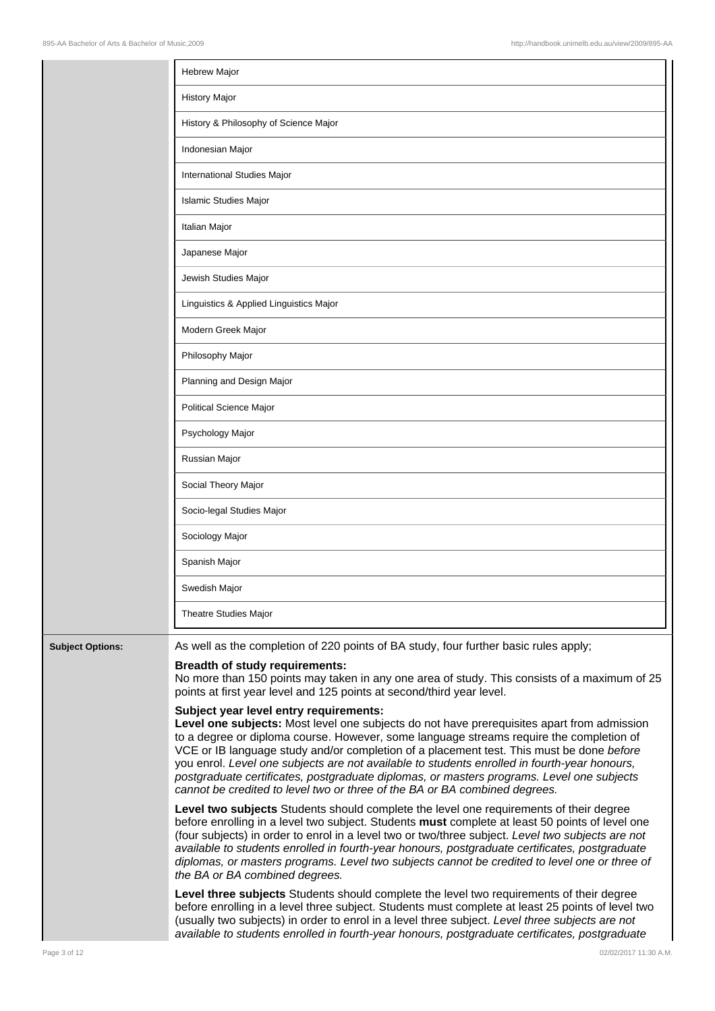|                         | <b>Hebrew Major</b>                                                                                                                                                                                                                                                                                                                                                                                                                                                                                                                                                                                    |
|-------------------------|--------------------------------------------------------------------------------------------------------------------------------------------------------------------------------------------------------------------------------------------------------------------------------------------------------------------------------------------------------------------------------------------------------------------------------------------------------------------------------------------------------------------------------------------------------------------------------------------------------|
|                         | <b>History Major</b>                                                                                                                                                                                                                                                                                                                                                                                                                                                                                                                                                                                   |
|                         | History & Philosophy of Science Major                                                                                                                                                                                                                                                                                                                                                                                                                                                                                                                                                                  |
|                         | Indonesian Major                                                                                                                                                                                                                                                                                                                                                                                                                                                                                                                                                                                       |
|                         | International Studies Major                                                                                                                                                                                                                                                                                                                                                                                                                                                                                                                                                                            |
|                         | <b>Islamic Studies Major</b>                                                                                                                                                                                                                                                                                                                                                                                                                                                                                                                                                                           |
|                         | Italian Major                                                                                                                                                                                                                                                                                                                                                                                                                                                                                                                                                                                          |
|                         | Japanese Major                                                                                                                                                                                                                                                                                                                                                                                                                                                                                                                                                                                         |
|                         | Jewish Studies Major                                                                                                                                                                                                                                                                                                                                                                                                                                                                                                                                                                                   |
|                         | Linguistics & Applied Linguistics Major                                                                                                                                                                                                                                                                                                                                                                                                                                                                                                                                                                |
|                         | Modern Greek Major                                                                                                                                                                                                                                                                                                                                                                                                                                                                                                                                                                                     |
|                         | Philosophy Major                                                                                                                                                                                                                                                                                                                                                                                                                                                                                                                                                                                       |
|                         | Planning and Design Major                                                                                                                                                                                                                                                                                                                                                                                                                                                                                                                                                                              |
|                         | Political Science Major                                                                                                                                                                                                                                                                                                                                                                                                                                                                                                                                                                                |
|                         | Psychology Major                                                                                                                                                                                                                                                                                                                                                                                                                                                                                                                                                                                       |
|                         | Russian Major                                                                                                                                                                                                                                                                                                                                                                                                                                                                                                                                                                                          |
|                         | Social Theory Major                                                                                                                                                                                                                                                                                                                                                                                                                                                                                                                                                                                    |
|                         | Socio-legal Studies Major                                                                                                                                                                                                                                                                                                                                                                                                                                                                                                                                                                              |
|                         | Sociology Major                                                                                                                                                                                                                                                                                                                                                                                                                                                                                                                                                                                        |
|                         | Spanish Major                                                                                                                                                                                                                                                                                                                                                                                                                                                                                                                                                                                          |
|                         | Swedish Major                                                                                                                                                                                                                                                                                                                                                                                                                                                                                                                                                                                          |
|                         | Theatre Studies Major                                                                                                                                                                                                                                                                                                                                                                                                                                                                                                                                                                                  |
| <b>Subject Options:</b> | As well as the completion of 220 points of BA study, four further basic rules apply;                                                                                                                                                                                                                                                                                                                                                                                                                                                                                                                   |
|                         | <b>Breadth of study requirements:</b><br>No more than 150 points may taken in any one area of study. This consists of a maximum of 25<br>points at first year level and 125 points at second/third year level.                                                                                                                                                                                                                                                                                                                                                                                         |
|                         | Subject year level entry requirements:<br>Level one subjects: Most level one subjects do not have prerequisites apart from admission<br>to a degree or diploma course. However, some language streams require the completion of<br>VCE or IB language study and/or completion of a placement test. This must be done before<br>you enrol. Level one subjects are not available to students enrolled in fourth-year honours,<br>postgraduate certificates, postgraduate diplomas, or masters programs. Level one subjects<br>cannot be credited to level two or three of the BA or BA combined degrees. |
|                         | Level two subjects Students should complete the level one requirements of their degree<br>before enrolling in a level two subject. Students must complete at least 50 points of level one<br>(four subjects) in order to enrol in a level two or two/three subject. Level two subjects are not<br>available to students enrolled in fourth-year honours, postgraduate certificates, postgraduate<br>diplomas, or masters programs. Level two subjects cannot be credited to level one or three of<br>the BA or BA combined degrees.                                                                    |
|                         | Level three subjects Students should complete the level two requirements of their degree                                                                                                                                                                                                                                                                                                                                                                                                                                                                                                               |

before enrolling in a level three subject. Students must complete at least 25 points of level two (usually two subjects) in order to enrol in a level three subject. Level three subjects are not available to students enrolled in fourth-year honours, postgraduate certificates, postgraduate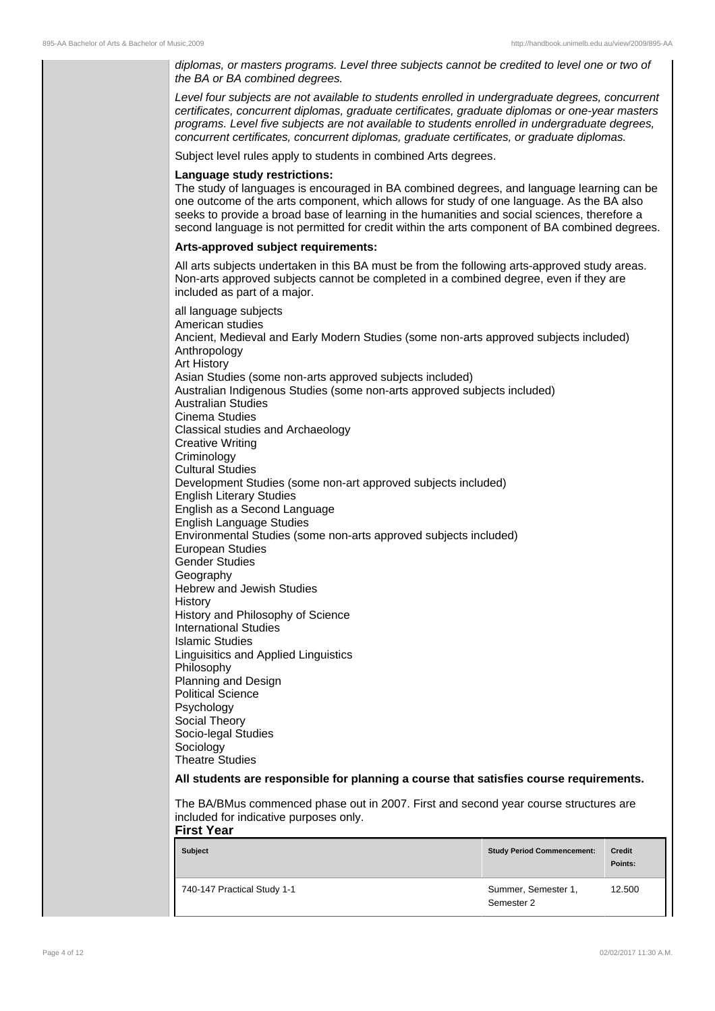diplomas, or masters programs. Level three subjects cannot be credited to level one or two of the BA or BA combined degrees.

Level four subjects are not available to students enrolled in undergraduate degrees, concurrent certificates, concurrent diplomas, graduate certificates, graduate diplomas or one-year masters programs. Level five subjects are not available to students enrolled in undergraduate degrees, concurrent certificates, concurrent diplomas, graduate certificates, or graduate diplomas.

Subject level rules apply to students in combined Arts degrees.

#### **Language study restrictions:**

The study of languages is encouraged in BA combined degrees, and language learning can be one outcome of the arts component, which allows for study of one language. As the BA also seeks to provide a broad base of learning in the humanities and social sciences, therefore a second language is not permitted for credit within the arts component of BA combined degrees.

#### **Arts-approved subject requirements:**

All arts subjects undertaken in this BA must be from the following arts-approved study areas. Non-arts approved subjects cannot be completed in a combined degree, even if they are included as part of a major.

all language subjects American studies Ancient, Medieval and Early Modern Studies (some non-arts approved subjects included) Anthropology Art History Asian Studies (some non-arts approved subjects included) Australian Indigenous Studies (some non-arts approved subjects included) Australian Studies Cinema Studies Classical studies and Archaeology Creative Writing **Criminology** Cultural Studies Development Studies (some non-art approved subjects included) English Literary Studies English as a Second Language English Language Studies Environmental Studies (some non-arts approved subjects included) European Studies Gender Studies Geography Hebrew and Jewish Studies History History and Philosophy of Science International Studies Islamic Studies Linguisitics and Applied Linguistics Philosophy Planning and Design Political Science Psychology Social Theory Socio-legal Studies Sociology Theatre Studies **All students are responsible for planning a course that satisfies course requirements.** The BA/BMus commenced phase out in 2007. First and second year course structures are included for indicative purposes only. **First Year**

| <b>Subject</b>              | <b>Study Period Commencement:</b> | <b>Credit</b><br>Points: |
|-----------------------------|-----------------------------------|--------------------------|
| 740-147 Practical Study 1-1 | Summer, Semester 1,<br>Semester 2 | 12.500                   |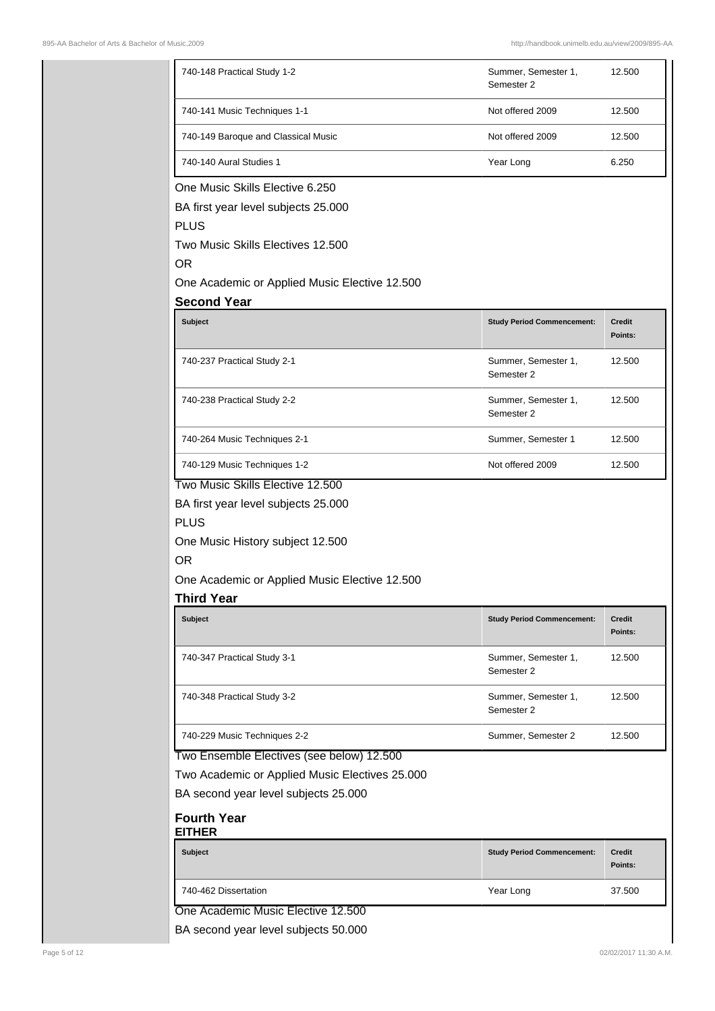| 740-148 Practical Study 1-2                                                                                                                                                                                                                                              |                                   |                          |
|--------------------------------------------------------------------------------------------------------------------------------------------------------------------------------------------------------------------------------------------------------------------------|-----------------------------------|--------------------------|
|                                                                                                                                                                                                                                                                          | Summer, Semester 1,<br>Semester 2 | 12.500                   |
| 740-141 Music Techniques 1-1                                                                                                                                                                                                                                             | Not offered 2009                  | 12.500                   |
| 740-149 Baroque and Classical Music                                                                                                                                                                                                                                      | Not offered 2009                  | 12.500                   |
| 740-140 Aural Studies 1                                                                                                                                                                                                                                                  | Year Long                         | 6.250                    |
| One Music Skills Elective 6.250                                                                                                                                                                                                                                          |                                   |                          |
| BA first year level subjects 25.000                                                                                                                                                                                                                                      |                                   |                          |
| <b>PLUS</b>                                                                                                                                                                                                                                                              |                                   |                          |
| Two Music Skills Electives 12.500<br><b>OR</b>                                                                                                                                                                                                                           |                                   |                          |
| One Academic or Applied Music Elective 12.500                                                                                                                                                                                                                            |                                   |                          |
| <b>Second Year</b>                                                                                                                                                                                                                                                       |                                   |                          |
| <b>Subject</b>                                                                                                                                                                                                                                                           | <b>Study Period Commencement:</b> | <b>Credit</b><br>Points: |
| 740-237 Practical Study 2-1                                                                                                                                                                                                                                              | Summer, Semester 1,<br>Semester 2 | 12.500                   |
| 740-238 Practical Study 2-2                                                                                                                                                                                                                                              | Summer, Semester 1,<br>Semester 2 | 12.500                   |
| 740-264 Music Techniques 2-1                                                                                                                                                                                                                                             | Summer, Semester 1                | 12.500                   |
| 740-129 Music Techniques 1-2                                                                                                                                                                                                                                             | Not offered 2009                  | 12.500                   |
|                                                                                                                                                                                                                                                                          |                                   |                          |
| Two Music Skills Elective 12.500                                                                                                                                                                                                                                         |                                   |                          |
|                                                                                                                                                                                                                                                                          |                                   |                          |
| BA first year level subjects 25.000                                                                                                                                                                                                                                      |                                   |                          |
|                                                                                                                                                                                                                                                                          |                                   |                          |
| <b>PLUS</b><br>One Music History subject 12.500<br><b>OR</b>                                                                                                                                                                                                             |                                   |                          |
|                                                                                                                                                                                                                                                                          |                                   |                          |
|                                                                                                                                                                                                                                                                          |                                   |                          |
| Subject                                                                                                                                                                                                                                                                  | <b>Study Period Commencement:</b> | <b>Credit</b>            |
|                                                                                                                                                                                                                                                                          |                                   | Points:                  |
| 740-347 Practical Study 3-1                                                                                                                                                                                                                                              | Summer, Semester 1,<br>Semester 2 | 12.500                   |
| 740-348 Practical Study 3-2                                                                                                                                                                                                                                              | Summer, Semester 1,<br>Semester 2 | 12.500                   |
| 740-229 Music Techniques 2-2                                                                                                                                                                                                                                             | Summer, Semester 2                | 12.500                   |
|                                                                                                                                                                                                                                                                          |                                   |                          |
|                                                                                                                                                                                                                                                                          |                                   |                          |
|                                                                                                                                                                                                                                                                          |                                   |                          |
|                                                                                                                                                                                                                                                                          |                                   |                          |
| <b>Subject</b>                                                                                                                                                                                                                                                           | <b>Study Period Commencement:</b> | <b>Credit</b><br>Points: |
| One Academic or Applied Music Elective 12.500<br><b>Third Year</b><br>Two Ensemble Electives (see below) 12.500<br>Two Academic or Applied Music Electives 25.000<br>BA second year level subjects 25.000<br><b>Fourth Year</b><br><b>EITHER</b><br>740-462 Dissertation | Year Long                         | 37.500                   |

BA second year level subjects 50.000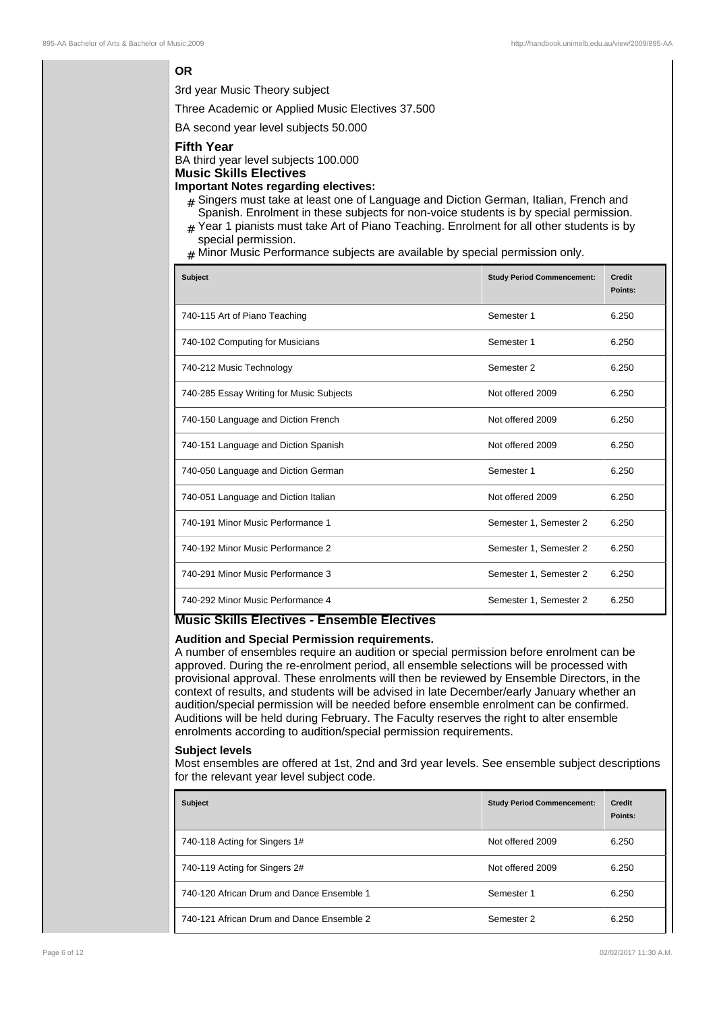## **OR**

3rd year Music Theory subject

Three Academic or Applied Music Electives 37.500

BA second year level subjects 50.000

#### **Fifth Year**

BA third year level subjects 100.000 **Music Skills Electives**

# **Important Notes regarding electives:**

- # Singers must take at least one of Language and Diction German, Italian, French and
- Spanish. Enrolment in these subjects for non-voice students is by special permission.  $#$  Year 1 pianists must take Art of Piano Teaching. Enrolment for all other students is by
- special permission.
- $#$  Minor Music Performance subjects are available by special permission only.

| <b>Subject</b>                           | <b>Study Period Commencement:</b> | <b>Credit</b><br>Points: |
|------------------------------------------|-----------------------------------|--------------------------|
| 740-115 Art of Piano Teaching            | Semester 1                        | 6.250                    |
| 740-102 Computing for Musicians          | Semester 1                        | 6.250                    |
| 740-212 Music Technology                 | Semester 2                        | 6.250                    |
| 740-285 Essay Writing for Music Subjects | Not offered 2009                  | 6.250                    |
| 740-150 Language and Diction French      | Not offered 2009                  | 6.250                    |
| 740-151 Language and Diction Spanish     | Not offered 2009                  | 6.250                    |
| 740-050 Language and Diction German      | Semester 1                        | 6.250                    |
| 740-051 Language and Diction Italian     | Not offered 2009                  | 6.250                    |
| 740-191 Minor Music Performance 1        | Semester 1, Semester 2            | 6.250                    |
| 740-192 Minor Music Performance 2        | Semester 1, Semester 2            | 6.250                    |
| 740-291 Minor Music Performance 3        | Semester 1, Semester 2            | 6.250                    |
| 740-292 Minor Music Performance 4        | Semester 1, Semester 2            | 6.250                    |

## **Music Skills Electives - Ensemble Electives**

# **Audition and Special Permission requirements.**

A number of ensembles require an audition or special permission before enrolment can be approved. During the re-enrolment period, all ensemble selections will be processed with provisional approval. These enrolments will then be reviewed by Ensemble Directors, in the context of results, and students will be advised in late December/early January whether an audition/special permission will be needed before ensemble enrolment can be confirmed. Auditions will be held during February. The Faculty reserves the right to alter ensemble enrolments according to audition/special permission requirements.

#### **Subject levels**

Most ensembles are offered at 1st, 2nd and 3rd year levels. See ensemble subject descriptions for the relevant year level subject code.

| <b>Subject</b>                            | <b>Study Period Commencement:</b> | <b>Credit</b><br>Points: |
|-------------------------------------------|-----------------------------------|--------------------------|
| 740-118 Acting for Singers 1#             | Not offered 2009                  | 6.250                    |
| 740-119 Acting for Singers 2#             | Not offered 2009                  | 6.250                    |
| 740-120 African Drum and Dance Ensemble 1 | Semester 1                        | 6.250                    |
| 740-121 African Drum and Dance Ensemble 2 | Semester 2                        | 6.250                    |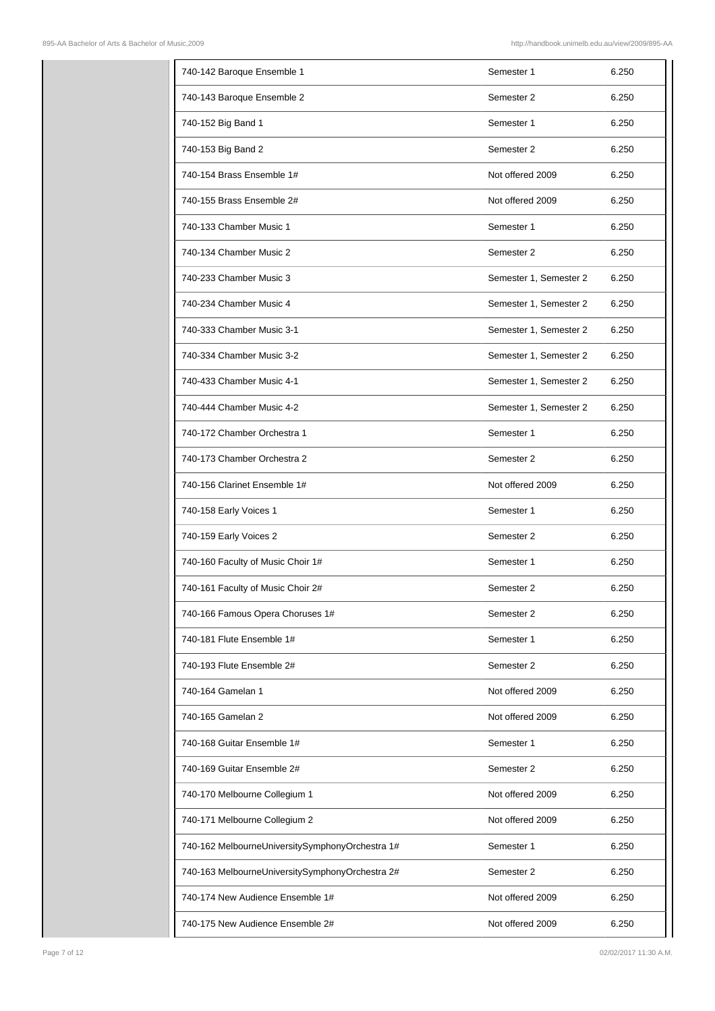| 740-142 Baroque Ensemble 1                      | Semester 1             | 6.250 |
|-------------------------------------------------|------------------------|-------|
| 740-143 Baroque Ensemble 2                      | Semester 2             | 6.250 |
| 740-152 Big Band 1                              | Semester 1             | 6.250 |
| 740-153 Big Band 2                              | Semester 2             | 6.250 |
| 740-154 Brass Ensemble 1#                       | Not offered 2009       | 6.250 |
| 740-155 Brass Ensemble 2#                       | Not offered 2009       | 6.250 |
| 740-133 Chamber Music 1                         | Semester 1             | 6.250 |
| 740-134 Chamber Music 2                         | Semester 2             | 6.250 |
| 740-233 Chamber Music 3                         | Semester 1, Semester 2 | 6.250 |
| 740-234 Chamber Music 4                         | Semester 1, Semester 2 | 6.250 |
| 740-333 Chamber Music 3-1                       | Semester 1, Semester 2 | 6.250 |
| 740-334 Chamber Music 3-2                       | Semester 1, Semester 2 | 6.250 |
| 740-433 Chamber Music 4-1                       | Semester 1, Semester 2 | 6.250 |
| 740-444 Chamber Music 4-2                       | Semester 1, Semester 2 | 6.250 |
| 740-172 Chamber Orchestra 1                     | Semester 1             | 6.250 |
| 740-173 Chamber Orchestra 2                     | Semester 2             | 6.250 |
| 740-156 Clarinet Ensemble 1#                    | Not offered 2009       | 6.250 |
| 740-158 Early Voices 1                          | Semester 1             | 6.250 |
| 740-159 Early Voices 2                          | Semester 2             | 6.250 |
| 740-160 Faculty of Music Choir 1#               | Semester 1             | 6.250 |
| 740-161 Faculty of Music Choir 2#               | Semester 2             | 6.250 |
| 740-166 Famous Opera Choruses 1#                | Semester 2             | 6.250 |
| 740-181 Flute Ensemble 1#                       | Semester 1             | 6.250 |
| 740-193 Flute Ensemble 2#                       | Semester 2             | 6.250 |
| 740-164 Gamelan 1                               | Not offered 2009       | 6.250 |
| 740-165 Gamelan 2                               | Not offered 2009       | 6.250 |
| 740-168 Guitar Ensemble 1#                      | Semester 1             | 6.250 |
| 740-169 Guitar Ensemble 2#                      | Semester 2             | 6.250 |
| 740-170 Melbourne Collegium 1                   | Not offered 2009       | 6.250 |
| 740-171 Melbourne Collegium 2                   | Not offered 2009       | 6.250 |
| 740-162 MelbourneUniversitySymphonyOrchestra 1# | Semester 1             | 6.250 |
| 740-163 MelbourneUniversitySymphonyOrchestra 2# | Semester 2             | 6.250 |
| 740-174 New Audience Ensemble 1#                | Not offered 2009       | 6.250 |
| 740-175 New Audience Ensemble 2#                | Not offered 2009       | 6.250 |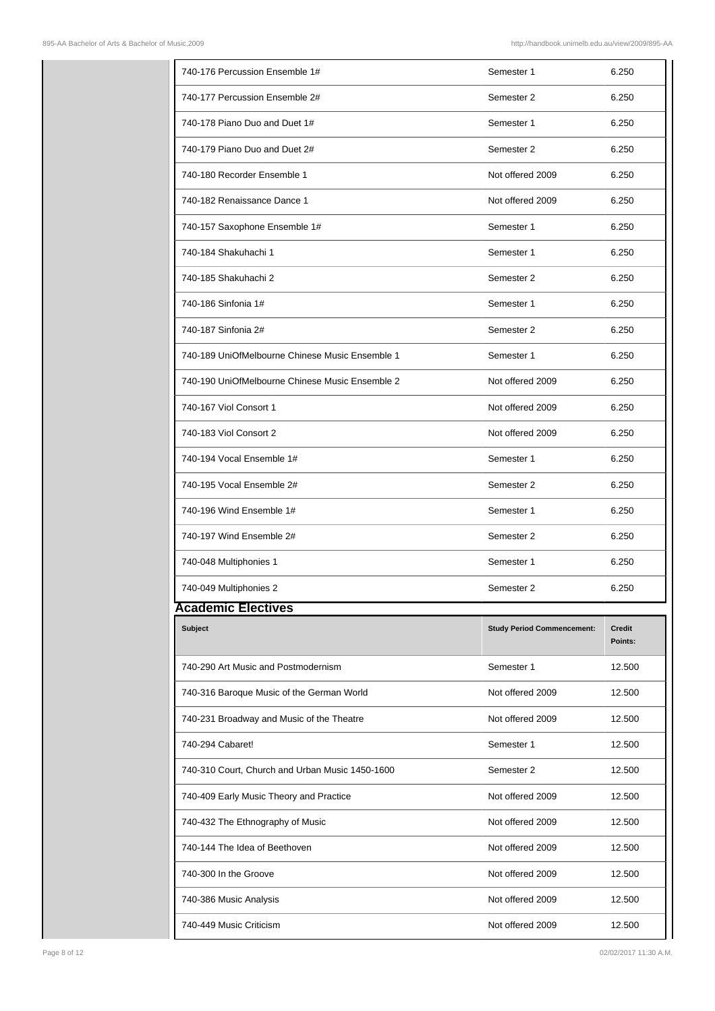| 740-176 Percussion Ensemble 1#<br>Semester 1<br>6.250<br>6.250<br>740-177 Percussion Ensemble 2#<br>Semester 2<br>740-178 Piano Duo and Duet 1#<br>Semester 1<br>6.250<br>740-179 Piano Duo and Duet 2#<br>Semester 2<br>6.250<br>740-180 Recorder Ensemble 1<br>Not offered 2009<br>6.250<br>740-182 Renaissance Dance 1<br>Not offered 2009<br>6.250<br>740-157 Saxophone Ensemble 1#<br>Semester 1<br>6.250<br>740-184 Shakuhachi 1<br>Semester 1<br>6.250<br>740-185 Shakuhachi 2<br>Semester 2<br>6.250<br>740-186 Sinfonia 1#<br>Semester 1<br>6.250<br>740-187 Sinfonia 2#<br>Semester 2<br>6.250<br>740-189 UniOfMelbourne Chinese Music Ensemble 1<br>Semester 1<br>6.250<br>740-190 UniOfMelbourne Chinese Music Ensemble 2<br>Not offered 2009<br>6.250<br>740-167 Viol Consort 1<br>Not offered 2009<br>6.250<br>740-183 Viol Consort 2<br>Not offered 2009<br>6.250<br>740-194 Vocal Ensemble 1#<br>Semester 1<br>6.250<br>740-195 Vocal Ensemble 2#<br>Semester 2<br>6.250<br>740-196 Wind Ensemble 1#<br>Semester 1<br>6.250<br>740-197 Wind Ensemble 2#<br>Semester 2<br>6.250<br>740-048 Multiphonies 1<br>6.250<br>Semester 1<br>740-049 Multiphonies 2<br>6.250<br>Semester 2<br><b>Academic Electives</b><br><b>Subject</b><br><b>Credit</b><br><b>Study Period Commencement:</b><br>Points:<br>740-290 Art Music and Postmodernism<br>Semester 1<br>12.500<br>740-316 Baroque Music of the German World<br>Not offered 2009<br>12.500<br>740-231 Broadway and Music of the Theatre<br>Not offered 2009<br>12.500<br>740-294 Cabaret!<br>Semester 1<br>12.500<br>740-310 Court, Church and Urban Music 1450-1600<br>Semester 2<br>12.500<br>740-409 Early Music Theory and Practice<br>Not offered 2009<br>12.500<br>740-432 The Ethnography of Music<br>Not offered 2009<br>12.500<br>740-144 The Idea of Beethoven<br>Not offered 2009<br>12.500<br>740-300 In the Groove<br>Not offered 2009<br>12.500<br>Not offered 2009<br>740-386 Music Analysis<br>12.500<br>740-449 Music Criticism<br>Not offered 2009<br>12.500 |  |  |
|------------------------------------------------------------------------------------------------------------------------------------------------------------------------------------------------------------------------------------------------------------------------------------------------------------------------------------------------------------------------------------------------------------------------------------------------------------------------------------------------------------------------------------------------------------------------------------------------------------------------------------------------------------------------------------------------------------------------------------------------------------------------------------------------------------------------------------------------------------------------------------------------------------------------------------------------------------------------------------------------------------------------------------------------------------------------------------------------------------------------------------------------------------------------------------------------------------------------------------------------------------------------------------------------------------------------------------------------------------------------------------------------------------------------------------------------------------------------------------------------------------------------------------------------------------------------------------------------------------------------------------------------------------------------------------------------------------------------------------------------------------------------------------------------------------------------------------------------------------------------------------------------------------------------------------------------------------------------------------------------------------------------------------------------|--|--|
|                                                                                                                                                                                                                                                                                                                                                                                                                                                                                                                                                                                                                                                                                                                                                                                                                                                                                                                                                                                                                                                                                                                                                                                                                                                                                                                                                                                                                                                                                                                                                                                                                                                                                                                                                                                                                                                                                                                                                                                                                                                |  |  |
|                                                                                                                                                                                                                                                                                                                                                                                                                                                                                                                                                                                                                                                                                                                                                                                                                                                                                                                                                                                                                                                                                                                                                                                                                                                                                                                                                                                                                                                                                                                                                                                                                                                                                                                                                                                                                                                                                                                                                                                                                                                |  |  |
|                                                                                                                                                                                                                                                                                                                                                                                                                                                                                                                                                                                                                                                                                                                                                                                                                                                                                                                                                                                                                                                                                                                                                                                                                                                                                                                                                                                                                                                                                                                                                                                                                                                                                                                                                                                                                                                                                                                                                                                                                                                |  |  |
|                                                                                                                                                                                                                                                                                                                                                                                                                                                                                                                                                                                                                                                                                                                                                                                                                                                                                                                                                                                                                                                                                                                                                                                                                                                                                                                                                                                                                                                                                                                                                                                                                                                                                                                                                                                                                                                                                                                                                                                                                                                |  |  |
|                                                                                                                                                                                                                                                                                                                                                                                                                                                                                                                                                                                                                                                                                                                                                                                                                                                                                                                                                                                                                                                                                                                                                                                                                                                                                                                                                                                                                                                                                                                                                                                                                                                                                                                                                                                                                                                                                                                                                                                                                                                |  |  |
|                                                                                                                                                                                                                                                                                                                                                                                                                                                                                                                                                                                                                                                                                                                                                                                                                                                                                                                                                                                                                                                                                                                                                                                                                                                                                                                                                                                                                                                                                                                                                                                                                                                                                                                                                                                                                                                                                                                                                                                                                                                |  |  |
|                                                                                                                                                                                                                                                                                                                                                                                                                                                                                                                                                                                                                                                                                                                                                                                                                                                                                                                                                                                                                                                                                                                                                                                                                                                                                                                                                                                                                                                                                                                                                                                                                                                                                                                                                                                                                                                                                                                                                                                                                                                |  |  |
|                                                                                                                                                                                                                                                                                                                                                                                                                                                                                                                                                                                                                                                                                                                                                                                                                                                                                                                                                                                                                                                                                                                                                                                                                                                                                                                                                                                                                                                                                                                                                                                                                                                                                                                                                                                                                                                                                                                                                                                                                                                |  |  |
|                                                                                                                                                                                                                                                                                                                                                                                                                                                                                                                                                                                                                                                                                                                                                                                                                                                                                                                                                                                                                                                                                                                                                                                                                                                                                                                                                                                                                                                                                                                                                                                                                                                                                                                                                                                                                                                                                                                                                                                                                                                |  |  |
|                                                                                                                                                                                                                                                                                                                                                                                                                                                                                                                                                                                                                                                                                                                                                                                                                                                                                                                                                                                                                                                                                                                                                                                                                                                                                                                                                                                                                                                                                                                                                                                                                                                                                                                                                                                                                                                                                                                                                                                                                                                |  |  |
|                                                                                                                                                                                                                                                                                                                                                                                                                                                                                                                                                                                                                                                                                                                                                                                                                                                                                                                                                                                                                                                                                                                                                                                                                                                                                                                                                                                                                                                                                                                                                                                                                                                                                                                                                                                                                                                                                                                                                                                                                                                |  |  |
|                                                                                                                                                                                                                                                                                                                                                                                                                                                                                                                                                                                                                                                                                                                                                                                                                                                                                                                                                                                                                                                                                                                                                                                                                                                                                                                                                                                                                                                                                                                                                                                                                                                                                                                                                                                                                                                                                                                                                                                                                                                |  |  |
|                                                                                                                                                                                                                                                                                                                                                                                                                                                                                                                                                                                                                                                                                                                                                                                                                                                                                                                                                                                                                                                                                                                                                                                                                                                                                                                                                                                                                                                                                                                                                                                                                                                                                                                                                                                                                                                                                                                                                                                                                                                |  |  |
|                                                                                                                                                                                                                                                                                                                                                                                                                                                                                                                                                                                                                                                                                                                                                                                                                                                                                                                                                                                                                                                                                                                                                                                                                                                                                                                                                                                                                                                                                                                                                                                                                                                                                                                                                                                                                                                                                                                                                                                                                                                |  |  |
|                                                                                                                                                                                                                                                                                                                                                                                                                                                                                                                                                                                                                                                                                                                                                                                                                                                                                                                                                                                                                                                                                                                                                                                                                                                                                                                                                                                                                                                                                                                                                                                                                                                                                                                                                                                                                                                                                                                                                                                                                                                |  |  |
|                                                                                                                                                                                                                                                                                                                                                                                                                                                                                                                                                                                                                                                                                                                                                                                                                                                                                                                                                                                                                                                                                                                                                                                                                                                                                                                                                                                                                                                                                                                                                                                                                                                                                                                                                                                                                                                                                                                                                                                                                                                |  |  |
|                                                                                                                                                                                                                                                                                                                                                                                                                                                                                                                                                                                                                                                                                                                                                                                                                                                                                                                                                                                                                                                                                                                                                                                                                                                                                                                                                                                                                                                                                                                                                                                                                                                                                                                                                                                                                                                                                                                                                                                                                                                |  |  |
|                                                                                                                                                                                                                                                                                                                                                                                                                                                                                                                                                                                                                                                                                                                                                                                                                                                                                                                                                                                                                                                                                                                                                                                                                                                                                                                                                                                                                                                                                                                                                                                                                                                                                                                                                                                                                                                                                                                                                                                                                                                |  |  |
|                                                                                                                                                                                                                                                                                                                                                                                                                                                                                                                                                                                                                                                                                                                                                                                                                                                                                                                                                                                                                                                                                                                                                                                                                                                                                                                                                                                                                                                                                                                                                                                                                                                                                                                                                                                                                                                                                                                                                                                                                                                |  |  |
|                                                                                                                                                                                                                                                                                                                                                                                                                                                                                                                                                                                                                                                                                                                                                                                                                                                                                                                                                                                                                                                                                                                                                                                                                                                                                                                                                                                                                                                                                                                                                                                                                                                                                                                                                                                                                                                                                                                                                                                                                                                |  |  |
|                                                                                                                                                                                                                                                                                                                                                                                                                                                                                                                                                                                                                                                                                                                                                                                                                                                                                                                                                                                                                                                                                                                                                                                                                                                                                                                                                                                                                                                                                                                                                                                                                                                                                                                                                                                                                                                                                                                                                                                                                                                |  |  |
|                                                                                                                                                                                                                                                                                                                                                                                                                                                                                                                                                                                                                                                                                                                                                                                                                                                                                                                                                                                                                                                                                                                                                                                                                                                                                                                                                                                                                                                                                                                                                                                                                                                                                                                                                                                                                                                                                                                                                                                                                                                |  |  |
|                                                                                                                                                                                                                                                                                                                                                                                                                                                                                                                                                                                                                                                                                                                                                                                                                                                                                                                                                                                                                                                                                                                                                                                                                                                                                                                                                                                                                                                                                                                                                                                                                                                                                                                                                                                                                                                                                                                                                                                                                                                |  |  |
|                                                                                                                                                                                                                                                                                                                                                                                                                                                                                                                                                                                                                                                                                                                                                                                                                                                                                                                                                                                                                                                                                                                                                                                                                                                                                                                                                                                                                                                                                                                                                                                                                                                                                                                                                                                                                                                                                                                                                                                                                                                |  |  |
|                                                                                                                                                                                                                                                                                                                                                                                                                                                                                                                                                                                                                                                                                                                                                                                                                                                                                                                                                                                                                                                                                                                                                                                                                                                                                                                                                                                                                                                                                                                                                                                                                                                                                                                                                                                                                                                                                                                                                                                                                                                |  |  |
|                                                                                                                                                                                                                                                                                                                                                                                                                                                                                                                                                                                                                                                                                                                                                                                                                                                                                                                                                                                                                                                                                                                                                                                                                                                                                                                                                                                                                                                                                                                                                                                                                                                                                                                                                                                                                                                                                                                                                                                                                                                |  |  |
|                                                                                                                                                                                                                                                                                                                                                                                                                                                                                                                                                                                                                                                                                                                                                                                                                                                                                                                                                                                                                                                                                                                                                                                                                                                                                                                                                                                                                                                                                                                                                                                                                                                                                                                                                                                                                                                                                                                                                                                                                                                |  |  |
|                                                                                                                                                                                                                                                                                                                                                                                                                                                                                                                                                                                                                                                                                                                                                                                                                                                                                                                                                                                                                                                                                                                                                                                                                                                                                                                                                                                                                                                                                                                                                                                                                                                                                                                                                                                                                                                                                                                                                                                                                                                |  |  |
|                                                                                                                                                                                                                                                                                                                                                                                                                                                                                                                                                                                                                                                                                                                                                                                                                                                                                                                                                                                                                                                                                                                                                                                                                                                                                                                                                                                                                                                                                                                                                                                                                                                                                                                                                                                                                                                                                                                                                                                                                                                |  |  |
|                                                                                                                                                                                                                                                                                                                                                                                                                                                                                                                                                                                                                                                                                                                                                                                                                                                                                                                                                                                                                                                                                                                                                                                                                                                                                                                                                                                                                                                                                                                                                                                                                                                                                                                                                                                                                                                                                                                                                                                                                                                |  |  |
|                                                                                                                                                                                                                                                                                                                                                                                                                                                                                                                                                                                                                                                                                                                                                                                                                                                                                                                                                                                                                                                                                                                                                                                                                                                                                                                                                                                                                                                                                                                                                                                                                                                                                                                                                                                                                                                                                                                                                                                                                                                |  |  |
|                                                                                                                                                                                                                                                                                                                                                                                                                                                                                                                                                                                                                                                                                                                                                                                                                                                                                                                                                                                                                                                                                                                                                                                                                                                                                                                                                                                                                                                                                                                                                                                                                                                                                                                                                                                                                                                                                                                                                                                                                                                |  |  |
|                                                                                                                                                                                                                                                                                                                                                                                                                                                                                                                                                                                                                                                                                                                                                                                                                                                                                                                                                                                                                                                                                                                                                                                                                                                                                                                                                                                                                                                                                                                                                                                                                                                                                                                                                                                                                                                                                                                                                                                                                                                |  |  |
|                                                                                                                                                                                                                                                                                                                                                                                                                                                                                                                                                                                                                                                                                                                                                                                                                                                                                                                                                                                                                                                                                                                                                                                                                                                                                                                                                                                                                                                                                                                                                                                                                                                                                                                                                                                                                                                                                                                                                                                                                                                |  |  |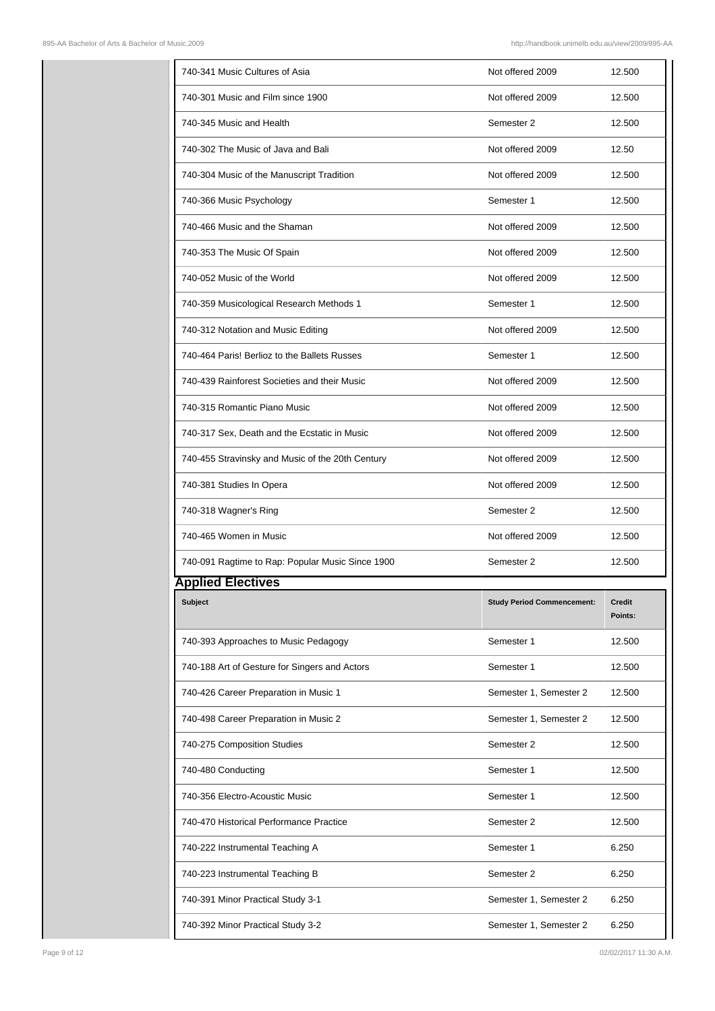| 740-341 Music Cultures of Asia                   | Not offered 2009                  | 12.500                   |
|--------------------------------------------------|-----------------------------------|--------------------------|
| 740-301 Music and Film since 1900                | Not offered 2009                  | 12.500                   |
| 740-345 Music and Health                         | Semester 2                        | 12.500                   |
| 740-302 The Music of Java and Bali               | Not offered 2009                  | 12.50                    |
| 740-304 Music of the Manuscript Tradition        | Not offered 2009                  | 12.500                   |
| 740-366 Music Psychology                         | Semester 1                        | 12.500                   |
| 740-466 Music and the Shaman                     | Not offered 2009                  | 12.500                   |
| 740-353 The Music Of Spain                       | Not offered 2009                  | 12.500                   |
| 740-052 Music of the World                       | Not offered 2009                  | 12.500                   |
| 740-359 Musicological Research Methods 1         | Semester 1                        | 12.500                   |
| 740-312 Notation and Music Editing               | Not offered 2009                  | 12.500                   |
| 740-464 Paris! Berlioz to the Ballets Russes     | Semester 1                        | 12.500                   |
| 740-439 Rainforest Societies and their Music     | Not offered 2009                  | 12.500                   |
| 740-315 Romantic Piano Music                     | Not offered 2009                  | 12.500                   |
| 740-317 Sex, Death and the Ecstatic in Music     | Not offered 2009                  | 12.500                   |
| 740-455 Stravinsky and Music of the 20th Century | Not offered 2009                  | 12.500                   |
| 740-381 Studies In Opera                         | Not offered 2009                  | 12.500                   |
|                                                  |                                   |                          |
| 740-318 Wagner's Ring                            | Semester 2                        | 12.500                   |
| 740-465 Women in Music                           | Not offered 2009                  | 12.500                   |
| 740-091 Ragtime to Rap: Popular Music Since 1900 | Semester 2                        | 12.500                   |
| <b>Applied Electives</b>                         |                                   |                          |
| <b>Subject</b>                                   | <b>Study Period Commencement:</b> | <b>Credit</b><br>Points: |
| 740-393 Approaches to Music Pedagogy             | Semester 1                        | 12.500                   |
| 740-188 Art of Gesture for Singers and Actors    | Semester 1                        | 12.500                   |
| 740-426 Career Preparation in Music 1            | Semester 1, Semester 2            | 12.500                   |
| 740-498 Career Preparation in Music 2            | Semester 1, Semester 2            | 12.500                   |
| 740-275 Composition Studies                      | Semester 2                        | 12.500                   |
| 740-480 Conducting                               | Semester 1                        | 12.500                   |
| 740-356 Electro-Acoustic Music                   | Semester 1                        | 12.500                   |
| 740-470 Historical Performance Practice          | Semester 2                        | 12.500                   |
| 740-222 Instrumental Teaching A                  | Semester 1                        | 6.250                    |
| 740-223 Instrumental Teaching B                  | Semester 2                        | 6.250                    |
| 740-391 Minor Practical Study 3-1                | Semester 1, Semester 2            | 6.250                    |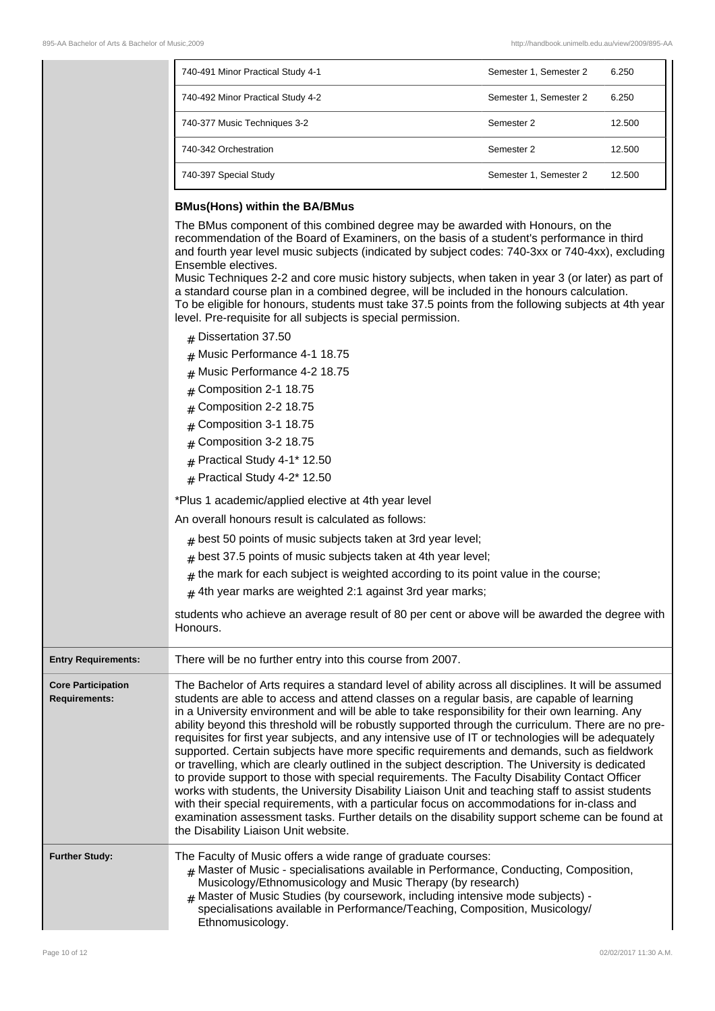| 740-491 Minor Practical Study 4-1 | Semester 1, Semester 2 | 6.250  |
|-----------------------------------|------------------------|--------|
| 740-492 Minor Practical Study 4-2 | Semester 1, Semester 2 | 6.250  |
| 740-377 Music Techniques 3-2      | Semester 2             | 12.500 |
| 740-342 Orchestration             | Semester 2             | 12.500 |
| 740-397 Special Study             | Semester 1, Semester 2 | 12.500 |

#### **BMus(Hons) within the BA/BMus**

The BMus component of this combined degree may be awarded with Honours, on the recommendation of the Board of Examiners, on the basis of a student's performance in third and fourth year level music subjects (indicated by subject codes: 740-3xx or 740-4xx), excluding Ensemble electives. Music Techniques 2-2 and core music history subjects, when taken in year 3 (or later) as part of a standard course plan in a combined degree, will be included in the honours calculation.

- To be eligible for honours, students must take 37.5 points from the following subjects at 4th year level. Pre-requisite for all subjects is special permission.
	- # Dissertation 37.50
	- # Music Performance 4-1 18.75
	- # Music Performance 4-2 18.75
	- $#$  Composition 2-1 18.75
	- # Composition 2-2 18.75
	- # Composition 3-1 18.75
	- # Composition 3-2 18.75
	- $#$  Practical Study 4-1\* 12.50
	- $#$  Practical Study 4-2\* 12.50

\*Plus 1 academic/applied elective at 4th year level

An overall honours result is calculated as follows:

- $_{\#}$  best 50 points of music subjects taken at 3rd year level;
- $_{\#}$  best 37.5 points of music subjects taken at 4th year level;
- $_\#$  the mark for each subject is weighted according to its point value in the course;
- $_{\#}$  4th year marks are weighted 2:1 against 3rd year marks;

students who achieve an average result of 80 per cent or above will be awarded the degree with Honours.

| <b>Entry Requirements:</b>                        | There will be no further entry into this course from 2007.                                                                                                                                                                                                                                                                                                                                                                                                                                                                                                                                                                                                                                                                                                                                                                                                                                                                                                                                                                                                                                                                                                          |
|---------------------------------------------------|---------------------------------------------------------------------------------------------------------------------------------------------------------------------------------------------------------------------------------------------------------------------------------------------------------------------------------------------------------------------------------------------------------------------------------------------------------------------------------------------------------------------------------------------------------------------------------------------------------------------------------------------------------------------------------------------------------------------------------------------------------------------------------------------------------------------------------------------------------------------------------------------------------------------------------------------------------------------------------------------------------------------------------------------------------------------------------------------------------------------------------------------------------------------|
| <b>Core Participation</b><br><b>Requirements:</b> | The Bachelor of Arts requires a standard level of ability across all disciplines. It will be assumed<br>students are able to access and attend classes on a regular basis, are capable of learning<br>in a University environment and will be able to take responsibility for their own learning. Any<br>ability beyond this threshold will be robustly supported through the curriculum. There are no pre-<br>requisites for first year subjects, and any intensive use of IT or technologies will be adequately<br>supported. Certain subjects have more specific requirements and demands, such as fieldwork<br>or travelling, which are clearly outlined in the subject description. The University is dedicated<br>to provide support to those with special requirements. The Faculty Disability Contact Officer<br>works with students, the University Disability Liaison Unit and teaching staff to assist students<br>with their special requirements, with a particular focus on accommodations for in-class and<br>examination assessment tasks. Further details on the disability support scheme can be found at<br>the Disability Liaison Unit website. |
| <b>Further Study:</b>                             | The Faculty of Music offers a wide range of graduate courses:<br>$#$ Master of Music - specialisations available in Performance, Conducting, Composition,<br>Musicology/Ethnomusicology and Music Therapy (by research)<br># Master of Music Studies (by coursework, including intensive mode subjects) -<br>specialisations available in Performance/Teaching, Composition, Musicology/<br>Ethnomusicology.                                                                                                                                                                                                                                                                                                                                                                                                                                                                                                                                                                                                                                                                                                                                                        |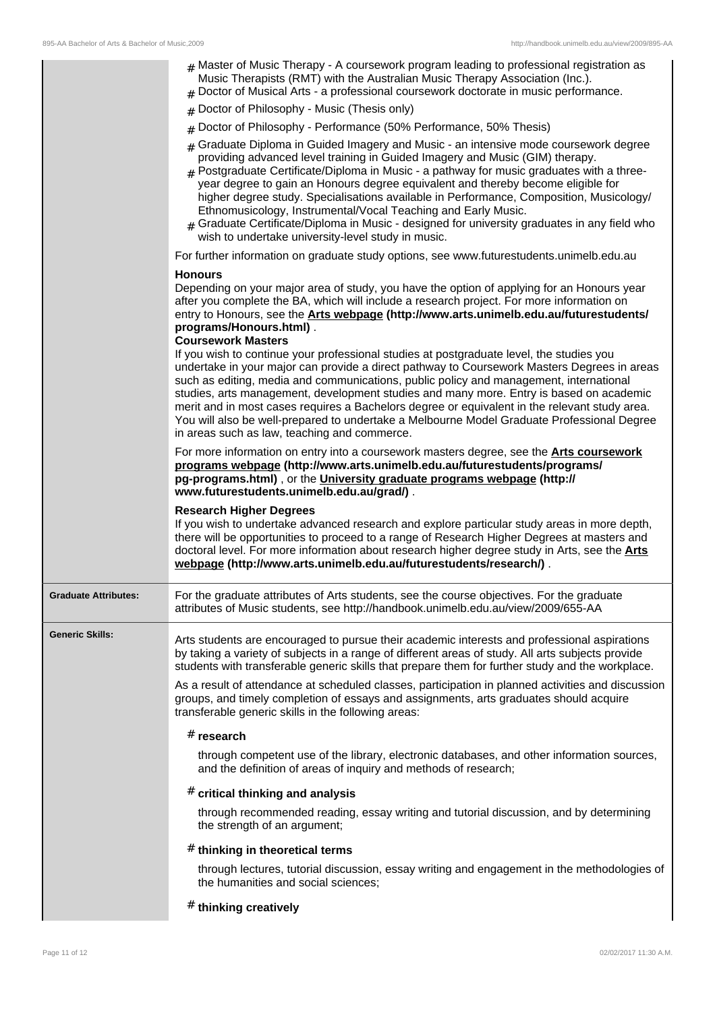|                             | # Master of Music Therapy - A coursework program leading to professional registration as<br>Music Therapists (RMT) with the Australian Music Therapy Association (Inc.).<br>$#$ Doctor of Musical Arts - a professional coursework doctorate in music performance.<br># Doctor of Philosophy - Music (Thesis only)<br># Doctor of Philosophy - Performance (50% Performance, 50% Thesis)<br>$#$ Graduate Diploma in Guided Imagery and Music - an intensive mode coursework degree<br>providing advanced level training in Guided Imagery and Music (GIM) therapy.<br>$_{\rm H}$ Postgraduate Certificate/Diploma in Music - a pathway for music graduates with a three-<br>year degree to gain an Honours degree equivalent and thereby become eligible for<br>higher degree study. Specialisations available in Performance, Composition, Musicology/<br>Ethnomusicology, Instrumental/Vocal Teaching and Early Music.<br>$_{\text{\#}}$ Graduate Certificate/Diploma in Music - designed for university graduates in any field who                                                                                                                                                                                                                                                                                                                                                                                                                                                                                                                                                                                                                                                                                                  |
|-----------------------------|----------------------------------------------------------------------------------------------------------------------------------------------------------------------------------------------------------------------------------------------------------------------------------------------------------------------------------------------------------------------------------------------------------------------------------------------------------------------------------------------------------------------------------------------------------------------------------------------------------------------------------------------------------------------------------------------------------------------------------------------------------------------------------------------------------------------------------------------------------------------------------------------------------------------------------------------------------------------------------------------------------------------------------------------------------------------------------------------------------------------------------------------------------------------------------------------------------------------------------------------------------------------------------------------------------------------------------------------------------------------------------------------------------------------------------------------------------------------------------------------------------------------------------------------------------------------------------------------------------------------------------------------------------------------------------------------------------------------------------------|
|                             | wish to undertake university-level study in music.                                                                                                                                                                                                                                                                                                                                                                                                                                                                                                                                                                                                                                                                                                                                                                                                                                                                                                                                                                                                                                                                                                                                                                                                                                                                                                                                                                                                                                                                                                                                                                                                                                                                                     |
|                             | For further information on graduate study options, see www.futurestudents.unimelb.edu.au<br><b>Honours</b><br>Depending on your major area of study, you have the option of applying for an Honours year<br>after you complete the BA, which will include a research project. For more information on<br>entry to Honours, see the Arts webpage (http://www.arts.unimelb.edu.au/futurestudents/<br>programs/Honours.html).<br><b>Coursework Masters</b><br>If you wish to continue your professional studies at postgraduate level, the studies you<br>undertake in your major can provide a direct pathway to Coursework Masters Degrees in areas<br>such as editing, media and communications, public policy and management, international<br>studies, arts management, development studies and many more. Entry is based on academic<br>merit and in most cases requires a Bachelors degree or equivalent in the relevant study area.<br>You will also be well-prepared to undertake a Melbourne Model Graduate Professional Degree<br>in areas such as law, teaching and commerce.<br>For more information on entry into a coursework masters degree, see the <b>Arts coursework</b><br>programs webpage (http://www.arts.unimelb.edu.au/futurestudents/programs/<br>pg-programs.html), or the University graduate programs webpage (http://<br>www.futurestudents.unimelb.edu.au/grad/).<br><b>Research Higher Degrees</b><br>If you wish to undertake advanced research and explore particular study areas in more depth,<br>there will be opportunities to proceed to a range of Research Higher Degrees at masters and<br>doctoral level. For more information about research higher degree study in Arts, see the <b>Arts</b> |
|                             |                                                                                                                                                                                                                                                                                                                                                                                                                                                                                                                                                                                                                                                                                                                                                                                                                                                                                                                                                                                                                                                                                                                                                                                                                                                                                                                                                                                                                                                                                                                                                                                                                                                                                                                                        |
| <b>Graduate Attributes:</b> | webpage (http://www.arts.unimelb.edu.au/futurestudents/research/).<br>For the graduate attributes of Arts students, see the course objectives. For the graduate                                                                                                                                                                                                                                                                                                                                                                                                                                                                                                                                                                                                                                                                                                                                                                                                                                                                                                                                                                                                                                                                                                                                                                                                                                                                                                                                                                                                                                                                                                                                                                        |
| <b>Generic Skills:</b>      | attributes of Music students, see http://handbook.unimelb.edu.au/view/2009/655-AA<br>Arts students are encouraged to pursue their academic interests and professional aspirations<br>by taking a variety of subjects in a range of different areas of study. All arts subjects provide<br>students with transferable generic skills that prepare them for further study and the workplace.<br>As a result of attendance at scheduled classes, participation in planned activities and discussion<br>groups, and timely completion of essays and assignments, arts graduates should acquire                                                                                                                                                                                                                                                                                                                                                                                                                                                                                                                                                                                                                                                                                                                                                                                                                                                                                                                                                                                                                                                                                                                                             |
|                             | transferable generic skills in the following areas:<br>$#$ research<br>through competent use of the library, electronic databases, and other information sources,<br>and the definition of areas of inquiry and methods of research;                                                                                                                                                                                                                                                                                                                                                                                                                                                                                                                                                                                                                                                                                                                                                                                                                                                                                                                                                                                                                                                                                                                                                                                                                                                                                                                                                                                                                                                                                                   |
|                             | $#$ critical thinking and analysis<br>through recommended reading, essay writing and tutorial discussion, and by determining<br>the strength of an argument;                                                                                                                                                                                                                                                                                                                                                                                                                                                                                                                                                                                                                                                                                                                                                                                                                                                                                                                                                                                                                                                                                                                                                                                                                                                                                                                                                                                                                                                                                                                                                                           |
|                             | # thinking in theoretical terms<br>through lectures, tutorial discussion, essay writing and engagement in the methodologies of<br>the humanities and social sciences;                                                                                                                                                                                                                                                                                                                                                                                                                                                                                                                                                                                                                                                                                                                                                                                                                                                                                                                                                                                                                                                                                                                                                                                                                                                                                                                                                                                                                                                                                                                                                                  |